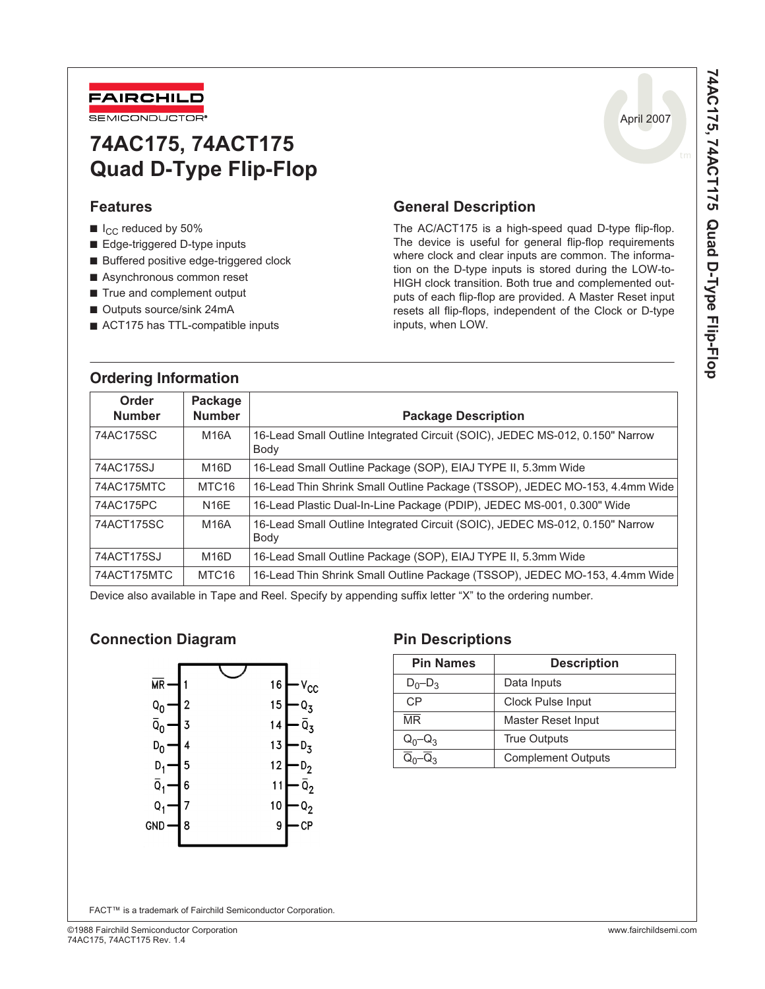

# **74AC175, 74ACT175 Quad D-Type Flip-Flop**

### **Features**

- $\blacksquare$  I<sub>CC</sub> reduced by 50%
- Edge-triggered D-type inputs
- Buffered positive edge-triggered clock
- Asynchronous common reset
- True and complement output
- Outputs source/sink 24mA
- ACT175 has TTL-compatible inputs

### **General Description**

The AC/ACT175 is a high-speed quad D-type flip-flop. The device is useful for general flip-flop requirements where clock and clear inputs are common. The information on the D-type inputs is stored during the LOW-to-HIGH clock transition. Both true and complemented outputs of each flip-flop are provided. A Master Reset input resets all flip-flops, independent of the Clock or D-type inputs, when LOW.

| <b>Ordering Information</b> |                          |                                                                                      |
|-----------------------------|--------------------------|--------------------------------------------------------------------------------------|
| Order<br><b>Number</b>      | Package<br><b>Number</b> | <b>Package Description</b>                                                           |
| 74AC175SC                   | <b>M16A</b>              | 16-Lead Small Outline Integrated Circuit (SOIC), JEDEC MS-012, 0.150" Narrow<br>Body |
| 74AC175SJ                   | M16D                     | 16-Lead Small Outline Package (SOP), EIAJ TYPE II, 5.3mm Wide                        |
| 74AC175MTC                  | MTC <sub>16</sub>        | 16-Lead Thin Shrink Small Outline Package (TSSOP), JEDEC MO-153, 4.4mm Wide          |
| 74AC175PC                   | <b>N16E</b>              | 16-Lead Plastic Dual-In-Line Package (PDIP), JEDEC MS-001, 0.300" Wide               |
| 74ACT175SC                  | <b>M16A</b>              | 16-Lead Small Outline Integrated Circuit (SOIC), JEDEC MS-012, 0.150" Narrow<br>Body |
| 74ACT175SJ                  | M16D                     | 16-Lead Small Outline Package (SOP), EIAJ TYPE II, 5.3mm Wide                        |
| 74ACT175MTC                 | MTC <sub>16</sub>        | 16-Lead Thin Shrink Small Outline Package (TSSOP), JEDEC MO-153, 4.4mm Wide          |

Device also available in Tape and Reel. Specify by appending suffix letter "X" to the ordering number.

### **Connection Diagram Connection Diagram Pin Descriptions**



| <b>Pin Names</b>       | <b>Description</b>        |  |  |  |  |
|------------------------|---------------------------|--|--|--|--|
| $D_0 - D_3$            | Data Inputs               |  |  |  |  |
| CP                     | Clock Pulse Input         |  |  |  |  |
| $\overline{\text{MR}}$ | Master Reset Input        |  |  |  |  |
| $Q_0 - Q_3$            | <b>True Outputs</b>       |  |  |  |  |
|                        | <b>Complement Outputs</b> |  |  |  |  |

April 2007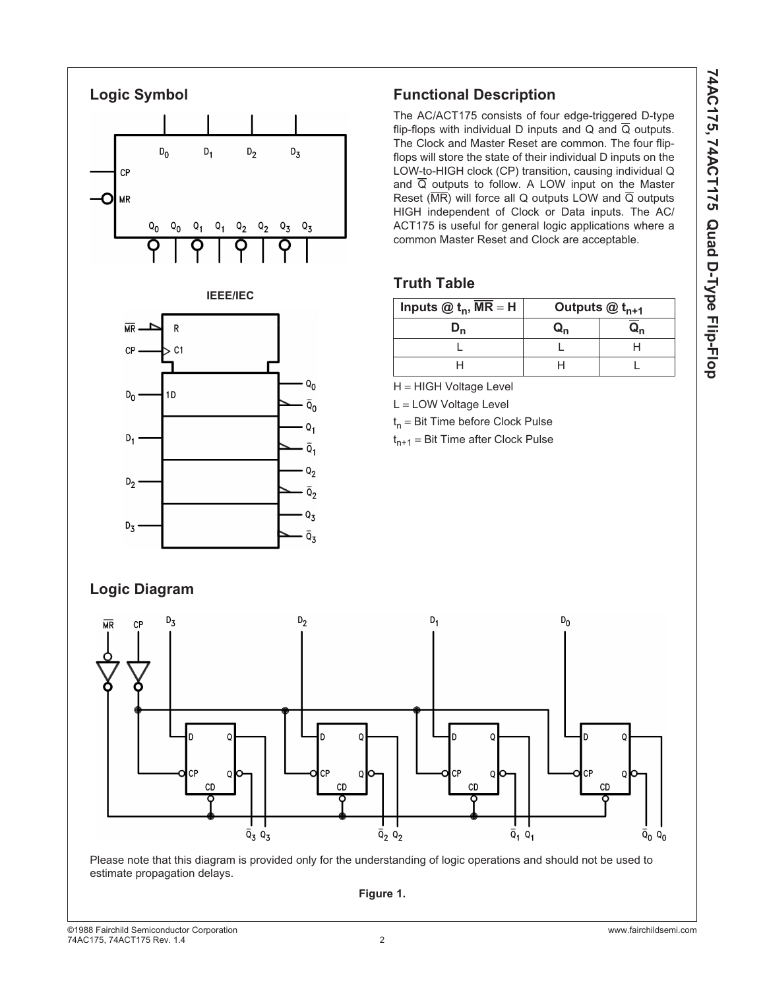

### **Functional Description**

The AC/ACT175 consists of four edge-triggered D-type flip-flops with individual D inputs and Q and  $\overline{Q}$  outputs. The Clock and Master Reset are common. The four flipflops will store the state of their individual D inputs on the LOW-to-HIGH clock (CP) transition, causing individual Q and  $\overline{Q}$  outputs to follow. A LOW input on the Master Reset ( $\overline{\text{MR}}$ ) will force all Q outputs LOW and  $\overline{Q}$  outputs HIGH independent of Clock or Data inputs. The AC/ ACT175 is useful for general logic applications where a common Master Reset and Clock are acceptable.

### **Truth Table**

| Inputs $@$ t <sub>n</sub> , MR = H | Outputs $@t_{n+1}$ |  |  |  |
|------------------------------------|--------------------|--|--|--|
|                                    |                    |  |  |  |
|                                    |                    |  |  |  |
|                                    |                    |  |  |  |

H = HIGH Voltage Level

L = LOW Voltage Level

 $t_n$  = Bit Time before Clock Pulse

 $t_{n+1}$  = Bit Time after Clock Pulse

#### $D_0$  $D<sub>2</sub>$  $D_1$  $D_3$ b D ІCЕ ٢ſ СF СP CD CD CD  $CD$  $\overline{Q}_3$   $Q_3$  $\overline{Q}_2$   $Q_2$  $\overline{Q}_1$   $Q_1$  $\bar{Q}_0$   $Q_0$

Please note that this diagram is provided only for the understanding of logic operations and should not be used to estimate propagation delays.

**Figure 1.**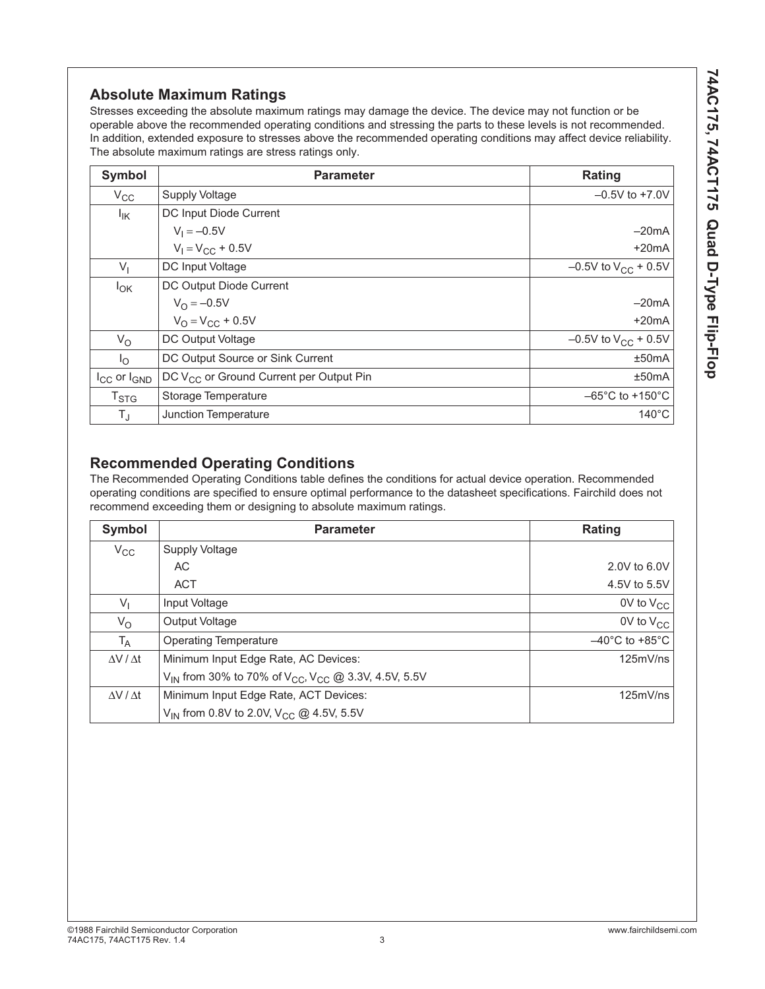### **Absolute Maximum Ratings**

Stresses exceeding the absolute maximum ratings may damage the device. The device may not function or be operable above the recommended operating conditions and stressing the parts to these levels is not recommended. In addition, extended exposure to stresses above the recommended operating conditions may affect device reliability. The absolute maximum ratings are stress ratings only.

| <b>Symbol</b>         | <b>Parameter</b>                                    | Rating                               |
|-----------------------|-----------------------------------------------------|--------------------------------------|
| $V_{CC}$              | <b>Supply Voltage</b>                               | $-0.5V$ to $+7.0V$                   |
| $I_{\mathsf{IK}}$     | DC Input Diode Current                              |                                      |
|                       | $V_1 = -0.5V$                                       | $-20mA$                              |
|                       | $V_1 = V_{CC} + 0.5V$                               | $+20mA$                              |
| $V_{1}$               | DC Input Voltage                                    | $-0.5V$ to $V_{CC}$ + 0.5V           |
| $I_{OK}$              | DC Output Diode Current                             |                                      |
|                       | $V_{\Omega} = -0.5V$                                | $-20mA$                              |
|                       | $V_{\Omega} = V_{\text{CC}} + 0.5V$                 | $+20mA$                              |
| $V_{\rm O}$           | DC Output Voltage                                   | $-0.5V$ to $V_{CC}$ + 0.5V           |
| $I_{\Omega}$          | DC Output Source or Sink Current                    | ±50mA                                |
| $I_{CC}$ or $I_{GND}$ | DC V <sub>CC</sub> or Ground Current per Output Pin | ±50mA                                |
| T <sub>STG</sub>      | Storage Temperature                                 | $-65^{\circ}$ C to +150 $^{\circ}$ C |
| $T_{\text{J}}$        | Junction Temperature                                | $140^{\circ}$ C                      |

### **Recommended Operating Conditions**

The Recommended Operating Conditions table defines the conditions for actual device operation. Recommended operating conditions are specified to ensure optimal performance to the datasheet specifications. Fairchild does not recommend exceeding them or designing to absolute maximum ratings.

| Symbol                | <b>Parameter</b>                                                                        | Rating                             |
|-----------------------|-----------------------------------------------------------------------------------------|------------------------------------|
| $V_{\rm CC}$          | Supply Voltage                                                                          |                                    |
|                       | AC.                                                                                     | 2.0V to 6.0V                       |
|                       | <b>ACT</b>                                                                              | 4.5V to 5.5V                       |
| $V_{1}$               | Input Voltage                                                                           | 0V to $V_{CC}$                     |
| $V_{\rm O}$           | <b>Output Voltage</b>                                                                   | 0V to $V_{CC}$                     |
| $T_A$                 | <b>Operating Temperature</b>                                                            | $-40^{\circ}$ C to $+85^{\circ}$ C |
| $\Delta V / \Delta t$ | Minimum Input Edge Rate, AC Devices:                                                    | 125mV/ns                           |
|                       | V <sub>IN</sub> from 30% to 70% of V <sub>CC</sub> , V <sub>CC</sub> @ 3.3V, 4.5V, 5.5V |                                    |
| $\Delta V / \Delta t$ | Minimum Input Edge Rate, ACT Devices:                                                   | 125mV/ns                           |
|                       | V <sub>IN</sub> from 0.8V to 2.0V, V <sub>CC</sub> @ 4.5V, 5.5V                         |                                    |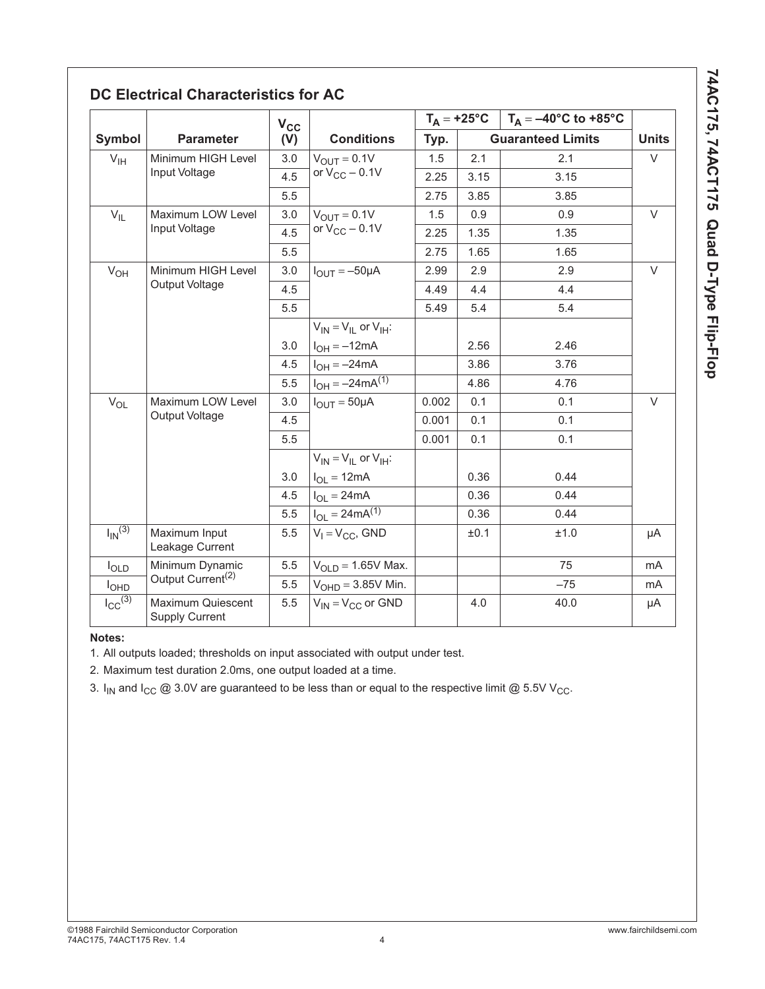| ;<br>י        |
|---------------|
|               |
| į<br>Ì        |
|               |
|               |
|               |
|               |
|               |
| -<br>-<br>-   |
|               |
|               |
| $\frac{1}{c}$ |
| I             |
|               |
| I             |
| s<br>Santa    |
|               |
|               |
|               |
|               |
|               |
|               |
|               |
|               |
|               |
|               |
|               |
| j<br>ľ        |
|               |
|               |
|               |
|               |
|               |
|               |

### **DC Electrical Characteristics for AC**

|                         |                                            | $V_{CC}$ |                                 | $T_A = +25^{\circ}C$ |      | $T_A = -40^{\circ}$ C to +85°C |              |
|-------------------------|--------------------------------------------|----------|---------------------------------|----------------------|------|--------------------------------|--------------|
| Symbol                  | <b>Parameter</b>                           | (V)      | <b>Conditions</b>               | Typ.                 |      | <b>Guaranteed Limits</b>       | <b>Units</b> |
| $V_{\text{IH}}$         | Minimum HIGH Level                         | 3.0      | $V_{\text{OUT}} = 0.1V$         | 1.5                  | 2.1  | 2.1                            | $\vee$       |
|                         | Input Voltage                              | 4.5      | or $V_{CC}$ – 0.1V              | 2.25                 | 3.15 | 3.15                           |              |
|                         |                                            | 5.5      |                                 | 2.75                 | 3.85 | 3.85                           |              |
| $V_{IL}$                | Maximum LOW Level                          | 3.0      | $V_{OUT} = 0.1V$                | 1.5                  | 0.9  | 0.9                            | $\vee$       |
|                         | Input Voltage                              | 4.5      | or $V_{CC}$ – 0.1V              | 2.25                 | 1.35 | 1.35                           |              |
|                         |                                            | 5.5      |                                 | 2.75                 | 1.65 | 1.65                           |              |
| $V_{OH}$                | Minimum HIGH Level                         | 3.0      | $I_{OUT} = -50 \mu A$           | 2.99                 | 2.9  | 2.9                            | $\vee$       |
|                         | Output Voltage                             | 4.5      |                                 | 4.49                 | 4.4  | 4.4                            |              |
|                         |                                            | 5.5      |                                 | 5.49                 | 5.4  | 5.4                            |              |
|                         |                                            |          | $V_{IN} = V_{II}$ or $V_{IH}$ : |                      |      |                                |              |
|                         |                                            | 3.0      | $I_{OH} = -12mA$                |                      | 2.56 | 2.46                           |              |
|                         |                                            | 4.5      | $I_{OH} = -24mA$                |                      | 3.86 | 3.76                           |              |
|                         |                                            | 5.5      | $I_{OH} = -24 \text{mA}^{(1)}$  |                      | 4.86 | 4.76                           |              |
| $V_{OL}$                | Maximum LOW Level                          | 3.0      | $I_{OUIT} = 50 \mu A$           | 0.002                | 0.1  | 0.1                            | V            |
|                         | Output Voltage                             | 4.5      |                                 | 0.001                | 0.1  | 0.1                            |              |
|                         |                                            | 5.5      |                                 | 0.001                | 0.1  | 0.1                            |              |
|                         |                                            |          | $V_{IN} = V_{II}$ or $V_{IH}$ : |                      |      |                                |              |
|                         |                                            | 3.0      | $I_{OL} = 12mA$                 |                      | 0.36 | 0.44                           |              |
|                         |                                            | 4.5      | $I_{OL} = 24mA$                 |                      | 0.36 | 0.44                           |              |
|                         |                                            | 5.5      | $I_{OL} = 24mA^{(1)}$           |                      | 0.36 | 0.44                           |              |
| $I_{IN}$ <sup>(3)</sup> | Maximum Input<br>Leakage Current           | 5.5      | $V_1 = V_{CC}$ , GND            |                      | ±0.1 | ±1.0                           | μA           |
| $I_{OLD}$               | Minimum Dynamic                            | 5.5      | $VOLD = 1.65V$ Max.             |                      |      | 75                             | mA           |
| <b>I</b> OHD            | Output Current <sup>(2)</sup>              | 5.5      | $VOHD = 3.85V$ Min.             |                      |      | $-75$                          | mA           |
| $I_{\text{CC}}^{(3)}$   | Maximum Quiescent<br><b>Supply Current</b> | 5.5      | $V_{IN} = V_{CC}$ or GND        |                      | 4.0  | 40.0                           | μA           |

#### **Notes:**

1. All outputs loaded; thresholds on input associated with output under test.

2. Maximum test duration 2.0ms, one output loaded at a time.

3.  $I_{IN}$  and  $I_{CC}$  @ 3.0V are guaranteed to be less than or equal to the respective limit @ 5.5V V<sub>CC</sub>.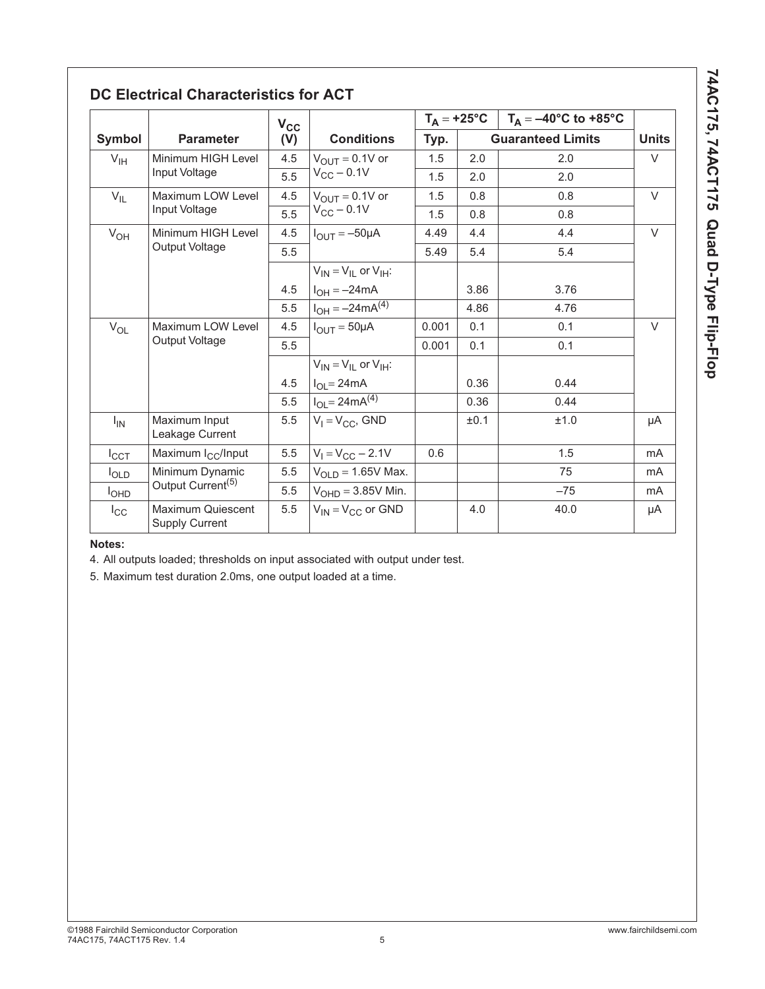| ì                    |
|----------------------|
| i<br>-<br>C          |
|                      |
|                      |
|                      |
|                      |
|                      |
|                      |
| $\ddot{\phantom{a}}$ |
|                      |
|                      |
| l<br>İ               |
| $\frac{1}{2}$        |
|                      |
| נ                    |
| א<br>אמי<br>ı        |
|                      |
|                      |
|                      |
| ı                    |
|                      |
| ı                    |
|                      |
| i                    |
|                      |
|                      |
|                      |
| ı<br>ı               |
| $\vdots$             |
|                      |
|                      |
|                      |
|                      |
|                      |
|                      |

## **DC Electrical Characteristics for ACT**

|                  |                                                   | $V_{CC}$ |                                 |       |      | $T_A = +25^{\circ}C$   $T_A = -40^{\circ}C$ to +85°C |              |
|------------------|---------------------------------------------------|----------|---------------------------------|-------|------|------------------------------------------------------|--------------|
| Symbol           | <b>Parameter</b>                                  | (V)      | <b>Conditions</b>               | Typ.  |      | <b>Guaranteed Limits</b>                             | <b>Units</b> |
| $V_{\text{IH}}$  | Minimum HIGH Level                                | 4.5      | $V_{OUIT} = 0.1V$ or            | 1.5   | 2.0  | 2.0                                                  | $\vee$       |
|                  | Input Voltage                                     | 5.5      | $V_{CC}$ – 0.1V                 | 1.5   | 2.0  | 2.0                                                  |              |
| $V_{IL}$         | Maximum LOW Level                                 | 4.5      | $V_{OUT} = 0.1V$ or             | 1.5   | 0.8  | 0.8                                                  | $\vee$       |
|                  | Input Voltage                                     | 5.5      | $V_{CC}$ - 0.1V                 | 1.5   | 0.8  | 0.8                                                  |              |
| $V_{OH}$         | Minimum HIGH Level                                | 4.5      | $I_{\text{OUT}} = -50\mu A$     | 4.49  | 4.4  | 4.4                                                  | $\vee$       |
|                  | Output Voltage                                    | 5.5      |                                 | 5.49  | 5.4  | 5.4                                                  |              |
|                  |                                                   |          | $V_{IN} = V_{II}$ or $V_{IH}$ : |       |      |                                                      |              |
|                  |                                                   | 4.5      | $I_{OH} = -24mA$                |       | 3.86 | 3.76                                                 |              |
|                  |                                                   | 5.5      | $I_{OH} = -24mA^{(4)}$          |       | 4.86 | 4.76                                                 |              |
| $V_{OL}$         | Maximum LOW Level                                 | 4.5      | $I_{\text{OUT}} = 50 \mu A$     | 0.001 | 0.1  | 0.1                                                  | $\vee$       |
|                  | Output Voltage                                    | 5.5      |                                 | 0.001 | 0.1  | 0.1                                                  |              |
|                  |                                                   |          | $V_{IN} = V_{IL}$ or $V_{IH}$ : |       |      |                                                      |              |
|                  |                                                   | 4.5      | $I_{OL} = 24mA$                 |       | 0.36 | 0.44                                                 |              |
|                  |                                                   | 5.5      | $I_{OL} = 24mA^{(4)}$           |       | 0.36 | 0.44                                                 |              |
| $I_{IN}$         | Maximum Input<br>Leakage Current                  | 5.5      | $V_1 = V_{CC}$ , GND            |       | ±0.1 | ±1.0                                                 | μA           |
| ICCT             | Maximum I <sub>CC</sub> /Input                    | 5.5      | $V_1 = V_{CC} - 2.1V$           | 0.6   |      | 1.5                                                  | mA           |
| $I_{OLD}$        | Minimum Dynamic                                   | 5.5      | $VOLD = 1.65V$ Max.             |       |      | 75                                                   | mA           |
| I <sub>OHD</sub> | Output Current <sup>(5)</sup>                     | 5.5      | $VOHD = 3.85V$ Min.             |       |      | $-75$                                                | mA           |
| $I_{\rm CC}$     | <b>Maximum Quiescent</b><br><b>Supply Current</b> | 5.5      | $V_{IN} = V_{CC}$ or GND        |       | 4.0  | 40.0                                                 | μA           |

#### **Notes:**

4. All outputs loaded; thresholds on input associated with output under test.

5. Maximum test duration 2.0ms, one output loaded at a time.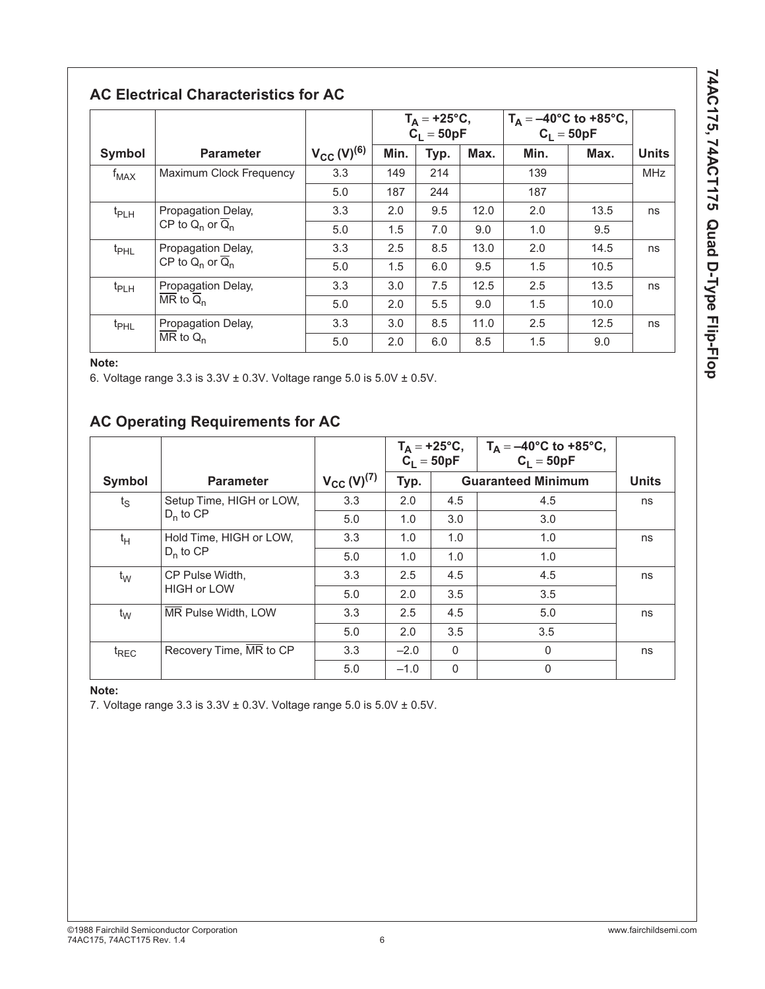74AC175, 74ACT175 Quad D-Type Flip-Flop **74AC175, 74ACT175 Quad D-Type Flip-Flop**

### **AC Electrical Characteristics for AC**

|                                            |                                 |                    | $T_A = +25^{\circ}C,$<br>C <sub>1</sub> = 50pF |      | $T_A = -40^{\circ}C$ to +85°C,<br>C <sub>1</sub> = 50pF |      |      |              |
|--------------------------------------------|---------------------------------|--------------------|------------------------------------------------|------|---------------------------------------------------------|------|------|--------------|
| Symbol                                     | <b>Parameter</b>                | $V_{CC} (V)^{(6)}$ | Min.                                           | Typ. | Max.                                                    | Min. | Max. | <b>Units</b> |
| $f_{MAX}$                                  | Maximum Clock Frequency         | 3.3                | 149                                            | 214  |                                                         | 139  |      | <b>MHz</b>   |
|                                            |                                 | 5.0                | 187                                            | 244  |                                                         | 187  |      |              |
| $t_{PLH}$                                  | Propagation Delay,              | 3.3                | 2.0                                            | 9.5  | 12.0                                                    | 2.0  | 13.5 | ns           |
|                                            | CP to $Q_n$ or $\overline{Q}_n$ | 5.0                | 1.5                                            | 7.0  | 9.0                                                     | 1.0  | 9.5  |              |
| t <sub>PHL</sub>                           | Propagation Delay,              | 3.3                | 2.5                                            | 8.5  | 13.0                                                    | 2.0  | 14.5 | ns           |
|                                            | CP to $Q_n$ or $\overline{Q}_n$ | 5.0                | 1.5                                            | 6.0  | 9.5                                                     | 1.5  | 10.5 |              |
| $t_{PLH}$                                  | Propagation Delay,              | 3.3                | 3.0                                            | 7.5  | 12.5                                                    | 2.5  | 13.5 | ns           |
| $\overline{\text{MR}}$ to $\overline{Q}_n$ | 5.0                             | 2.0                | 5.5                                            | 9.0  | 1.5                                                     | 10.0 |      |              |
| t <sub>PHL</sub>                           | Propagation Delay,              | 3.3                | 3.0                                            | 8.5  | 11.0                                                    | 2.5  | 12.5 | ns           |
|                                            | $\overline{\text{MR}}$ to $Q_n$ | 5.0                | 2.0                                            | 6.0  | 8.5                                                     | 1.5  | 9.0  |              |

#### **Note:**

6. Voltage range  $3.3$  is  $3.3V \pm 0.3V$ . Voltage range  $5.0$  is  $5.0V \pm 0.5V$ .

### **AC Operating Requirements for AC**

|                  |                          |                                 | $T_A = +25^{\circ}C,$<br>$C_L = 50pF$ |          | $T_A = -40^{\circ}C$ to +85°C,<br>$C_1 = 50pF$ |    |
|------------------|--------------------------|---------------------------------|---------------------------------------|----------|------------------------------------------------|----|
| <b>Symbol</b>    | <b>Parameter</b>         | $V_{\rm CC}$ (V) <sup>(7)</sup> | Typ.                                  |          | <b>Guaranteed Minimum</b>                      |    |
| $t_{\rm S}$      | Setup Time, HIGH or LOW, | 3.3                             | 2.0                                   | 4.5      | 4.5                                            | ns |
|                  | $D_n$ to CP              | 5.0                             | 1.0                                   | 3.0      | 3.0                                            |    |
| $t_H$            | Hold Time, HIGH or LOW,  | 3.3                             | 1.0                                   | 1.0      | 1.0                                            | ns |
|                  | $D_n$ to CP              | 5.0                             | 1.0                                   | 1.0      | 1.0                                            |    |
| $t_{\text{W}}$   | CP Pulse Width,          | 3.3                             | 2.5                                   | 4.5      | 4.5                                            | ns |
|                  | <b>HIGH or LOW</b>       | 5.0                             | 2.0                                   | 3.5      | 3.5                                            |    |
| $t_{\text{W}}$   | MR Pulse Width, LOW      | 3.3                             | 2.5                                   | 4.5      | 5.0                                            | ns |
|                  |                          | 5.0                             | 2.0                                   | 3.5      | 3.5                                            |    |
| <sup>t</sup> REC | Recovery Time, MR to CP  | 3.3                             | $-2.0$                                | $\Omega$ | $\Omega$                                       | ns |
|                  |                          | 5.0                             | $-1.0$                                | $\Omega$ | $\mathbf{0}$                                   |    |

#### **Note:**

7. Voltage range  $3.3$  is  $3.3V \pm 0.3V$ . Voltage range  $5.0$  is  $5.0V \pm 0.5V$ .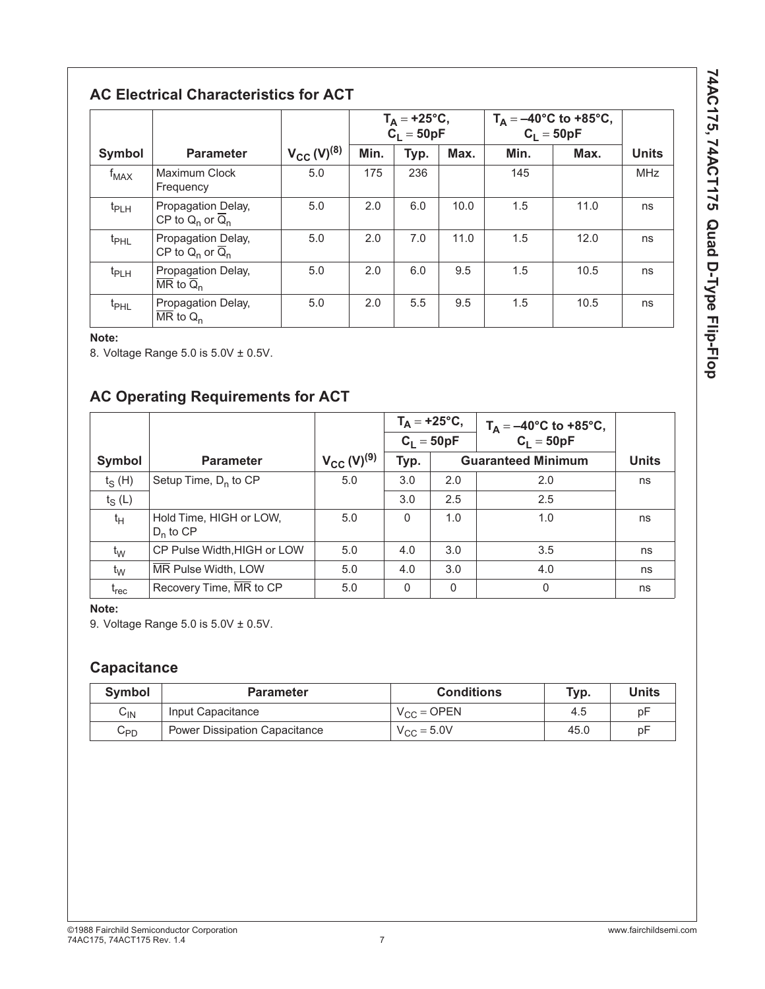74AC175, 74ACT175 Quad D-Type Flip-Flop **74AC175, 74ACT175 Quad D-Type Flip-Flop**

## **AC Electrical Characteristics for ACT**

|                  |                                                                             |                    | $T_A = +25$ °C,<br>$C_1 = 50pF$ |      | $T_A = -40^{\circ}C$ to +85°C,<br>C <sub>L</sub> = 50pF |      |      |              |
|------------------|-----------------------------------------------------------------------------|--------------------|---------------------------------|------|---------------------------------------------------------|------|------|--------------|
| <b>Symbol</b>    | <b>Parameter</b>                                                            | $V_{CC} (V)^{(8)}$ | Min.                            | Typ. | Max.                                                    | Min. | Max. | <b>Units</b> |
| $f_{MAX}$        | Maximum Clock<br>Frequency                                                  | 5.0                | 175                             | 236  |                                                         | 145  |      | <b>MHz</b>   |
| $t_{PLH}$        | Propagation Delay,<br>CP to $Q_n$ or $\overline{Q}_n$                       | 5.0                | 2.0                             | 6.0  | 10.0                                                    | 1.5  | 11.0 | ns           |
| t <sub>PHL</sub> | Propagation Delay,<br>CP to $Q_n$ or $\overline{Q}_n$                       | 5.0                | 2.0                             | 7.0  | 11.0                                                    | 1.5  | 12.0 | ns           |
| $t_{PLH}$        | Propagation Delay,<br>$\overline{\mathsf{MR}}$ to $\overline{\mathsf{Q}}_n$ | 5.0                | 2.0                             | 6.0  | 9.5                                                     | 1.5  | 10.5 | ns           |
| t <sub>PHL</sub> | Propagation Delay,<br>$\overline{\text{MR}}$ to $Q_n$                       | 5.0                | 2.0                             | 5.5  | 9.5                                                     | 1.5  | 10.5 | ns           |

### **Note:**

8. Voltage Range 5.0 is 5.0V ± 0.5V.

### **AC Operating Requirements for ACT**

|                               |                                        |                    | $T_A = +25$ °C, |              | $T_A = -40^{\circ}C$ to +85°C, |              |
|-------------------------------|----------------------------------------|--------------------|-----------------|--------------|--------------------------------|--------------|
|                               |                                        |                    |                 | $C_1 = 50pF$ | $C_1 = 50pF$                   |              |
| Symbol                        | <b>Parameter</b>                       | $V_{CC} (V)^{(9)}$ | Typ.            |              | <b>Guaranteed Minimum</b>      | <b>Units</b> |
| $t_S(H)$                      | Setup Time, $D_n$ to CP                | 5.0                | 3.0             | 2.0          | 2.0                            | ns           |
| $t_S(L)$                      |                                        |                    | 3.0             | 2.5          | 2.5                            |              |
| t <sub>Η</sub>                | Hold Time, HIGH or LOW,<br>$D_n$ to CP | 5.0                | $\Omega$        | 1.0          | 1.0                            | ns           |
| $t_{\rm W}$                   | CP Pulse Width, HIGH or LOW            | 5.0                | 4.0             | 3.0          | 3.5                            | ns           |
| $t_{\rm W}$                   | MR Pulse Width, LOW                    | 5.0                | 4.0             | 3.0          | 4.0                            | ns           |
| $\mathfrak{r}_{\mathsf{rec}}$ | Recovery Time, MR to CP                | 5.0                | $\Omega$        | $\mathbf{0}$ | $\Omega$                       | ns           |

#### **Note:**

9. Voltage Range 5.0 is 5.0V ± 0.5V.

### **Capacitance**

| <b>Symbol</b> | <b>Parameter</b>                     | <b>Conditions</b>   | Typ. | <b>Units</b> |
|---------------|--------------------------------------|---------------------|------|--------------|
| $C_{IN}$      | Input Capacitance                    | $V_{CC} =$ OPEN     | 4.5  | рF           |
| $C_{PD}$      | <b>Power Dissipation Capacitance</b> | $V_{\rm CC}$ = 5.0V | 45.0 | рF           |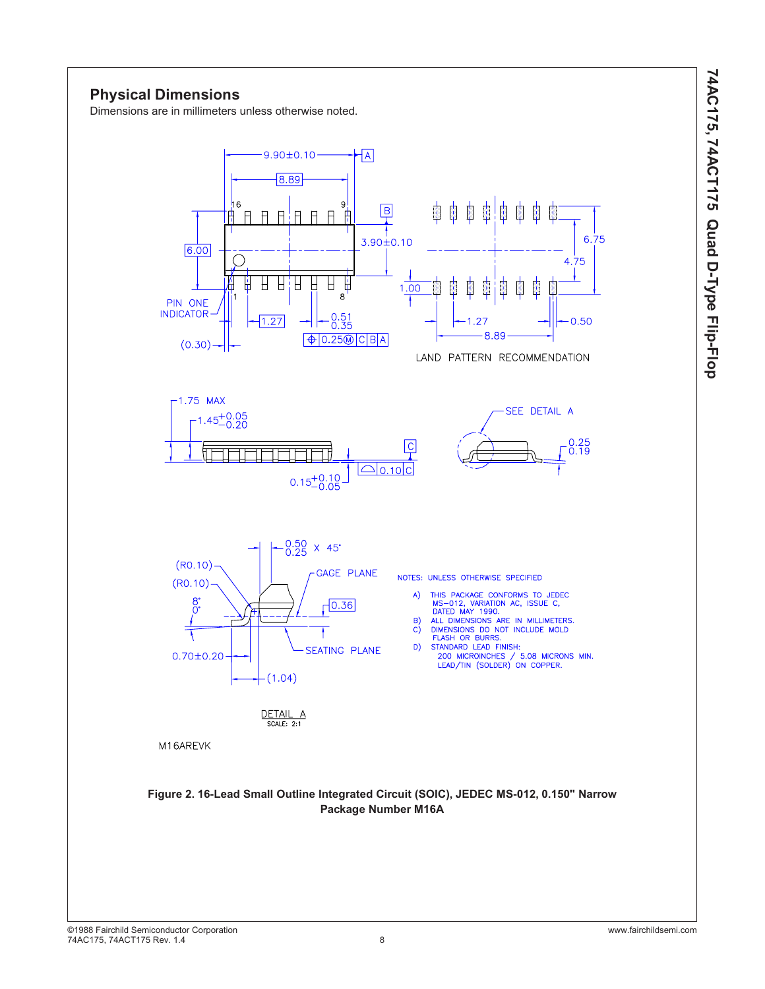### **Physical Dimensions**

Dimensions are in millimeters unless otherwise noted.

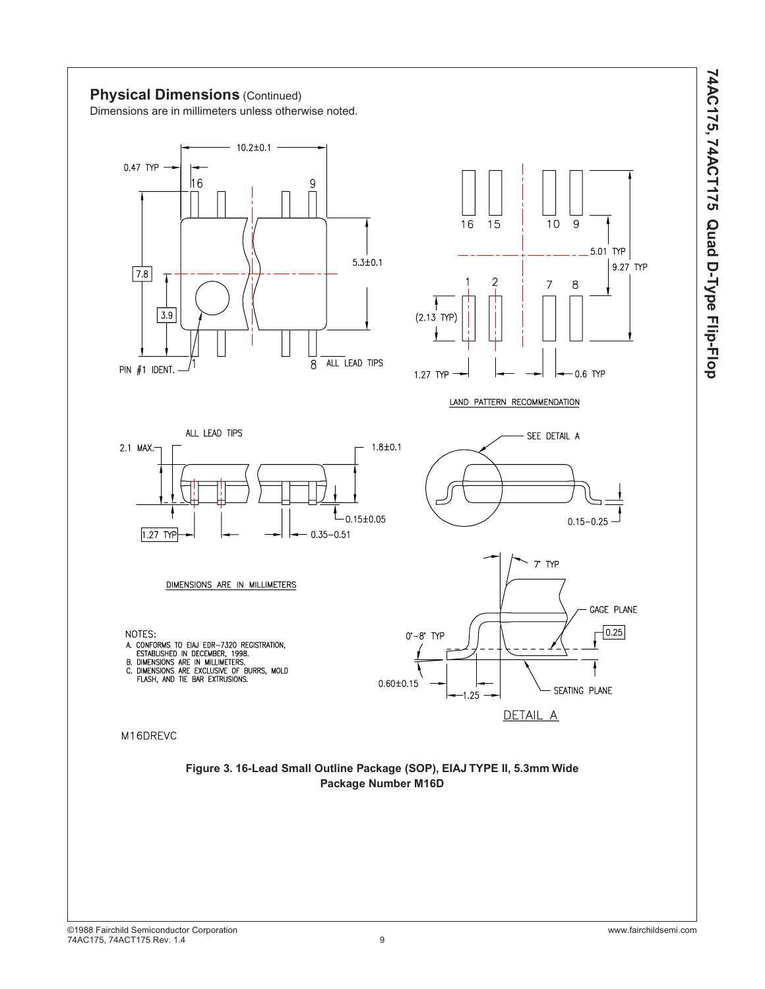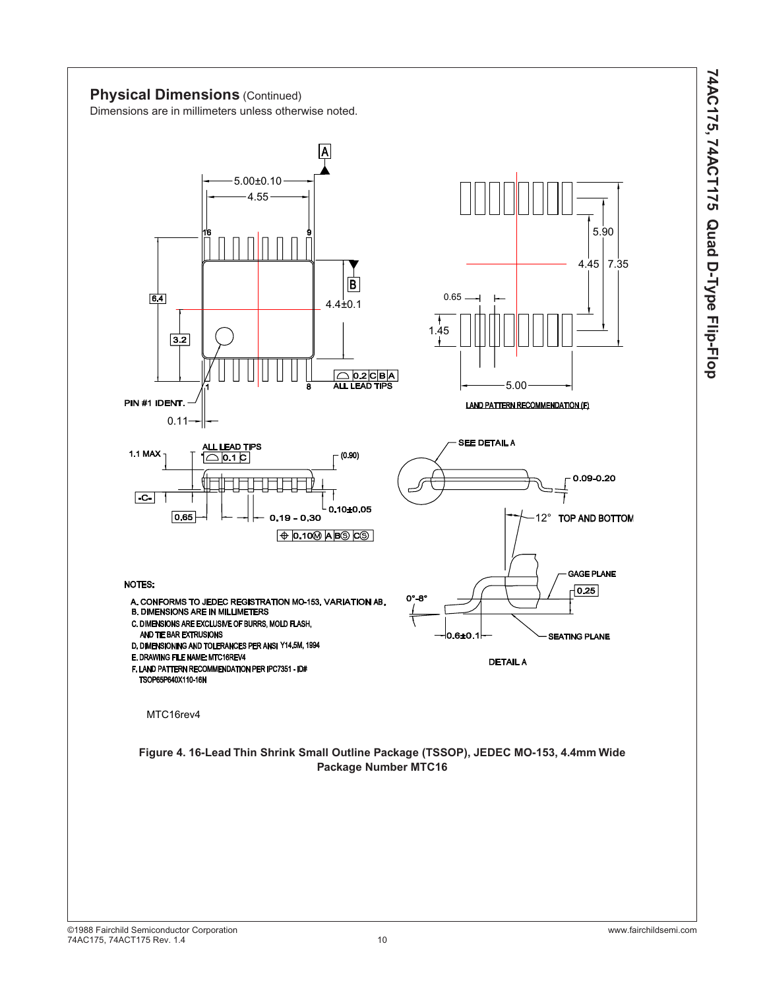

MTC16rev4

TSOP65P640X110-16N

0.11

0.65

AND TIE BAR EXTRUSIONS

 $3.2$ 

 $\overline{64}$ 

PIN #1 IDENT.

**1.1 MAX** 

 $-c$ -

**NOTES:**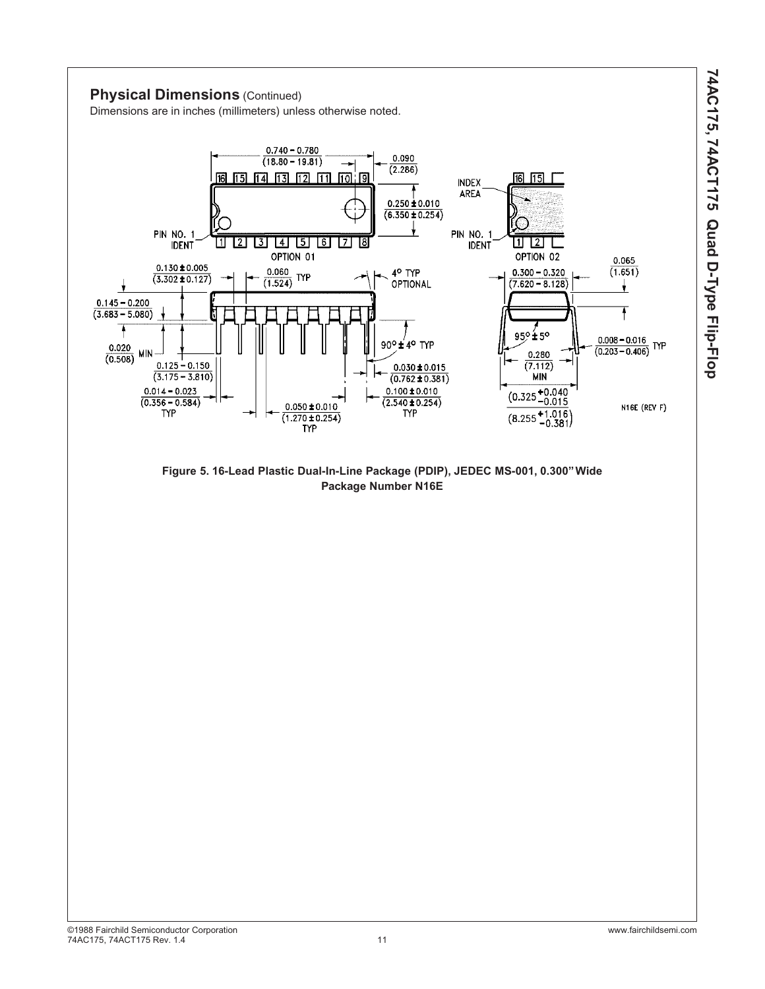

**PIN NO. 1** 

 $0.145 - 0.200$ 

 $(3.683 - 5.080)$ 

A

 $0.020$ 

 $(0.508)$ 

**MIN** 

**IDENT** 

 $0.130 \pm 0.005$ 

 $(3.302 \pm 0.127)$ 

 $0.125 - 0.150$ 

 $(3.175 - 3.810)$ 

 $0.014 - 0.023$ 

 $(0.356 - 0.584)$ 

**TYP** 

N